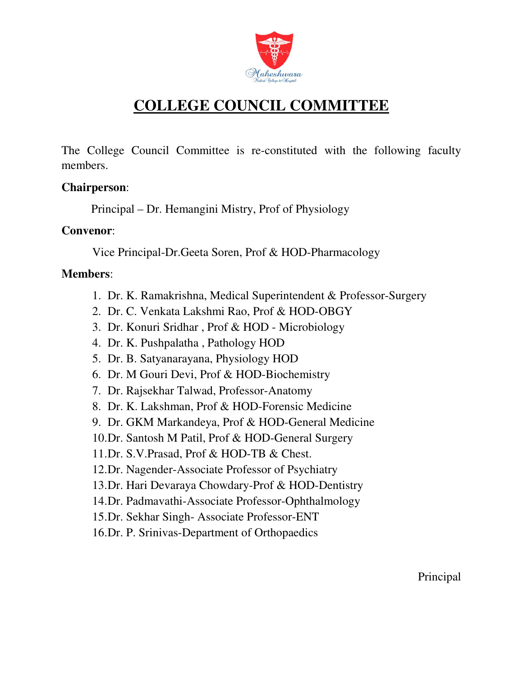

# **COLLEGE COUNCIL COMMITTEE**

The College Council Committee is re-constituted with the following faculty members.

#### **Chairperson**:

Principal – Dr. Hemangini Mistry, Prof of Physiology

#### **Convenor**:

Vice Principal-Dr.Geeta Soren, Prof & HOD-Pharmacology

### **Members**:

- 1. Dr. K. Ramakrishna, Medical Superintendent & Professor-Surgery
- 2. Dr. C. Venkata Lakshmi Rao, Prof & HOD-OBGY
- 3. Dr. Konuri Sridhar , Prof & HOD Microbiology
- 4. Dr. K. Pushpalatha , Pathology HOD
- 5. Dr. B. Satyanarayana, Physiology HOD
- 6. Dr. M Gouri Devi, Prof & HOD-Biochemistry
- 7. Dr. Rajsekhar Talwad, Professor-Anatomy
- 8. Dr. K. Lakshman, Prof & HOD-Forensic Medicine
- 9. Dr. GKM Markandeya, Prof & HOD-General Medicine
- 10.Dr. Santosh M Patil, Prof & HOD-General Surgery
- 11.Dr. S.V.Prasad, Prof & HOD-TB & Chest.
- 12.Dr. Nagender-Associate Professor of Psychiatry
- 13.Dr. Hari Devaraya Chowdary-Prof & HOD-Dentistry
- 14.Dr. Padmavathi-Associate Professor-Ophthalmology
- 15.Dr. Sekhar Singh- Associate Professor-ENT
- 16.Dr. P. Srinivas-Department of Orthopaedics

Principal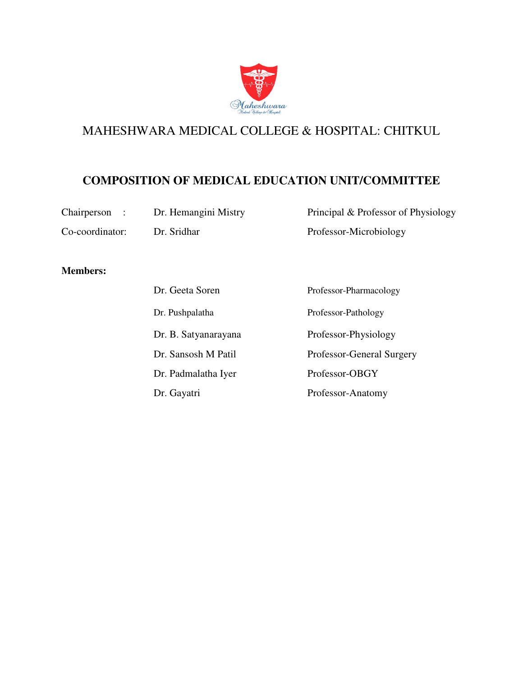

#### **COMPOSITION OF MEDICAL EDUCATION UNIT/COMMITTEE**

| Chairperson : | Dr. Hemangini Mistry | Principal & Professor of Physiology |
|---------------|----------------------|-------------------------------------|
|               |                      |                                     |

Co-coordinator: Dr. Sridhar Professor-Microbiology

#### **Members:**

| Dr. Geeta Soren      | Professor-Pharmacology    |
|----------------------|---------------------------|
| Dr. Pushpalatha      | Professor-Pathology       |
| Dr. B. Satyanarayana | Professor-Physiology      |
| Dr. Sansosh M Patil  | Professor-General Surgery |
| Dr. Padmalatha Iyer  | Professor-OBGY            |
| Dr. Gayatri          | Professor-Anatomy         |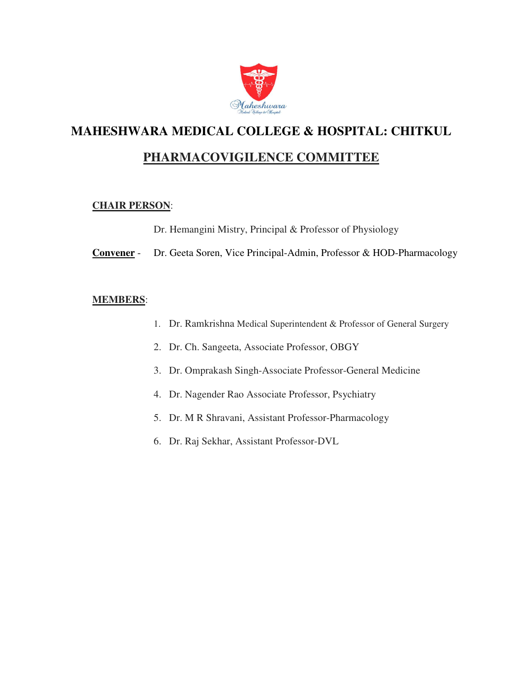

### **PHARMACOVIGILENCE COMMITTEE**

#### **CHAIR PERSON**:

Dr. Hemangini Mistry, Principal & Professor of Physiology

**Convener** - Dr. Geeta Soren, Vice Principal-Admin, Professor & HOD-Pharmacology

- 1. Dr. Ramkrishna Medical Superintendent & Professor of General Surgery
- 2. Dr. Ch. Sangeeta, Associate Professor, OBGY
- 3. Dr. Omprakash Singh-Associate Professor-General Medicine
- 4. Dr. Nagender Rao Associate Professor, Psychiatry
- 5. Dr. M R Shravani, Assistant Professor-Pharmacology
- 6. Dr. Raj Sekhar, Assistant Professor-DVL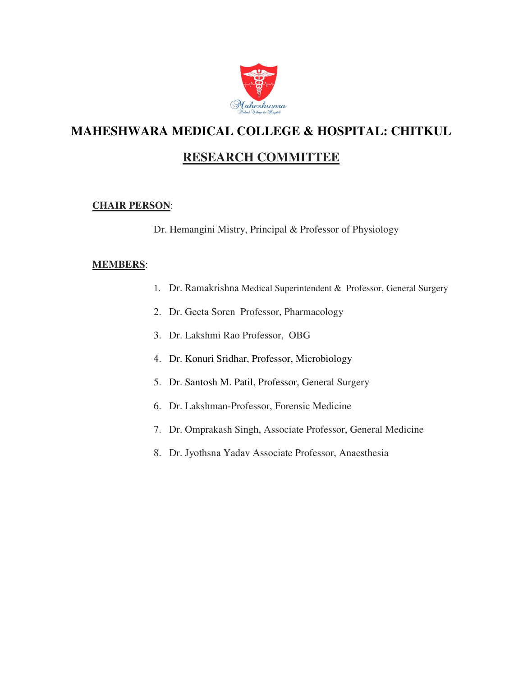

## **RESEARCH COMMITTEE**

#### **CHAIR PERSON**:

Dr. Hemangini Mistry, Principal & Professor of Physiology

- 1. Dr. Ramakrishna Medical Superintendent & Professor, General Surgery
- 2. Dr. Geeta Soren Professor, Pharmacology
- 3. Dr. Lakshmi Rao Professor, OBG
- 4. Dr. Konuri Sridhar, Professor, Microbiology
- 5. Dr. Santosh M. Patil, Professor, General Surgery
- 6. Dr. Lakshman-Professor, Forensic Medicine
- 7. Dr. Omprakash Singh, Associate Professor, General Medicine
- 8. Dr. Jyothsna Yadav Associate Professor, Anaesthesia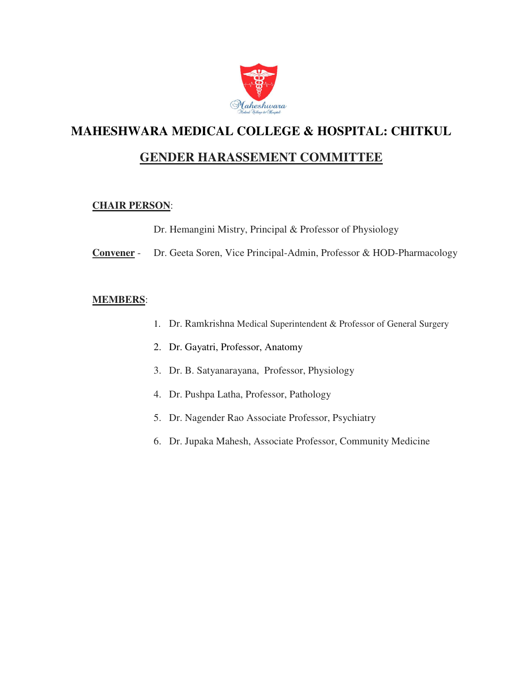

### **GENDER HARASSEMENT COMMITTEE**

#### **CHAIR PERSON**:

Dr. Hemangini Mistry, Principal & Professor of Physiology

**Convener** - Dr. Geeta Soren, Vice Principal-Admin, Professor & HOD-Pharmacology

- 1. Dr. Ramkrishna Medical Superintendent & Professor of General Surgery
- 2. Dr. Gayatri, Professor, Anatomy
- 3. Dr. B. Satyanarayana, Professor, Physiology
- 4. Dr. Pushpa Latha, Professor, Pathology
- 5. Dr. Nagender Rao Associate Professor, Psychiatry
- 6. Dr. Jupaka Mahesh, Associate Professor, Community Medicine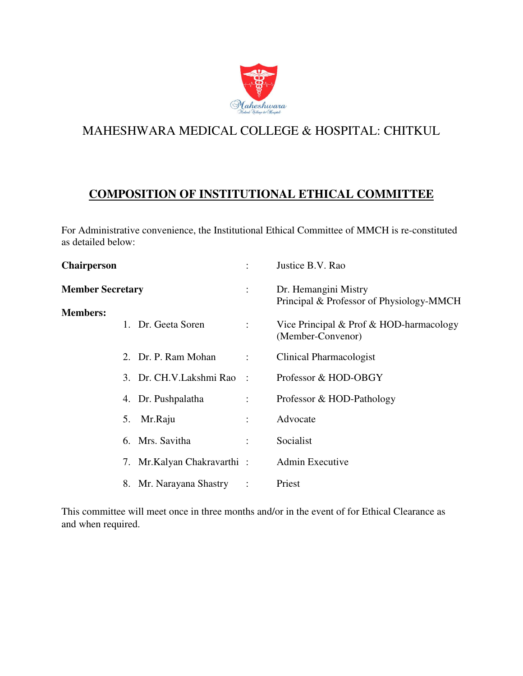

## **COMPOSITION OF INSTITUTIONAL ETHICAL COMMITTEE**

For Administrative convenience, the Institutional Ethical Committee of MMCH is re-constituted as detailed below:

| ÷                                      | Justice B.V. Rao                                                 |
|----------------------------------------|------------------------------------------------------------------|
| ÷                                      | Dr. Hemangini Mistry<br>Principal & Professor of Physiology-MMCH |
| $\mathbb{Z}^{\mathbb{Z}}$              | Vice Principal & Prof & HOD-harmacology<br>(Member-Convenor)     |
| $\ddot{\phantom{a}}$                   | Clinical Pharmacologist                                          |
| 3. Dr. CH.V. Lakshmi Rao<br>$\sim$ 1   | Professor & HOD-OBGY                                             |
| $\mathbb{R}^{\mathbb{Z}}$              | Professor & HOD-Pathology                                        |
| ÷                                      | Advocate                                                         |
| $\ddot{\phantom{a}}$                   | Socialist                                                        |
| Mr.Kalyan Chakravarthi:                | Admin Executive                                                  |
| Mr. Narayana Shastry<br>$\ddot{\cdot}$ | Priest                                                           |
|                                        |                                                                  |

This committee will meet once in three months and/or in the event of for Ethical Clearance as and when required.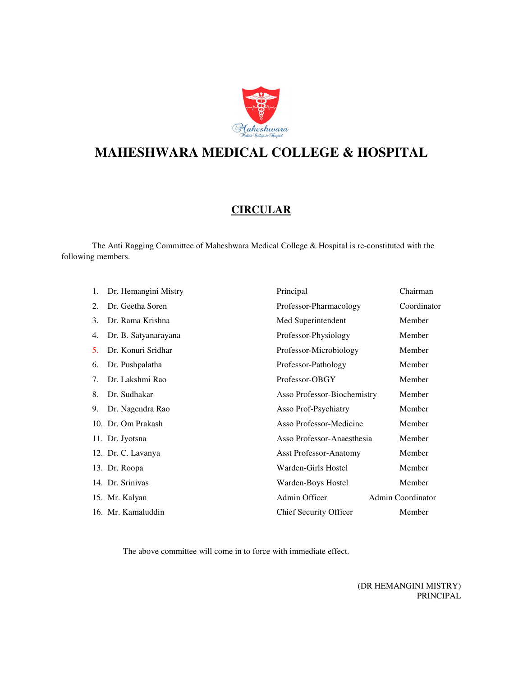

# **MAHESHWARA MEDICAL COLLEGE & HOSPITAL**

#### **CIRCULAR**

 The Anti Ragging Committee of Maheshwara Medical College & Hospital is re-constituted with the following members.

| 1. | Dr. Hemangini Mistry | Principal                     | Chairman                 |
|----|----------------------|-------------------------------|--------------------------|
| 2. | Dr. Geetha Soren     | Professor-Pharmacology        | Coordinator              |
| 3. | Dr. Rama Krishna     | Med Superintendent            | Member                   |
| 4. | Dr. B. Satyanarayana | Professor-Physiology          | Member                   |
| 5. | Dr. Konuri Sridhar   | Professor-Microbiology        | Member                   |
| 6. | Dr. Pushpalatha      | Professor-Pathology           | Member                   |
| 7. | Dr. Lakshmi Rao      | Professor-OBGY                | Member                   |
| 8. | Dr. Sudhakar         | Asso Professor-Biochemistry   | Member                   |
| 9. | Dr. Nagendra Rao     | Asso Prof-Psychiatry          | Member                   |
|    | 10. Dr. Om Prakash   | Asso Professor-Medicine       | Member                   |
|    | 11. Dr. Jyotsna      | Asso Professor-Anaesthesia    | Member                   |
|    | 12. Dr. C. Lavanya   | <b>Asst Professor-Anatomy</b> | Member                   |
|    | 13. Dr. Roopa        | Warden-Girls Hostel           | Member                   |
|    | 14. Dr. Srinivas     | Warden-Boys Hostel            | Member                   |
|    | 15. Mr. Kalyan       | Admin Officer                 | <b>Admin Coordinator</b> |
|    | 16. Mr. Kamaluddin   | <b>Chief Security Officer</b> | Member                   |

The above committee will come in to force with immediate effect.

(DR HEMANGINI MISTRY) PRINCIPAL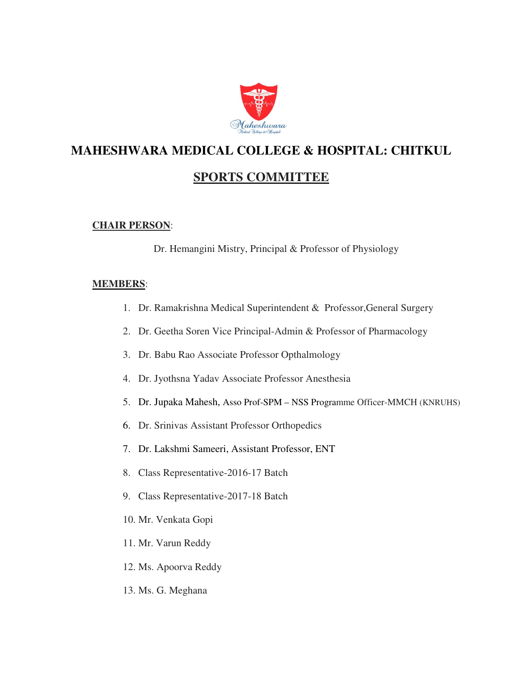

## **SPORTS COMMITTEE**

#### **CHAIR PERSON**:

Dr. Hemangini Mistry, Principal & Professor of Physiology

- 1. Dr. Ramakrishna Medical Superintendent & Professor,General Surgery
- 2. Dr. Geetha Soren Vice Principal-Admin & Professor of Pharmacology
- 3. Dr. Babu Rao Associate Professor Opthalmology
- 4. Dr. Jyothsna Yadav Associate Professor Anesthesia
- 5. Dr. Jupaka Mahesh, Asso Prof-SPM NSS Programme Officer-MMCH (KNRUHS)
- 6. Dr. Srinivas Assistant Professor Orthopedics
- 7. Dr. Lakshmi Sameeri, Assistant Professor, ENT
- 8. Class Representative-2016-17 Batch
- 9. Class Representative-2017-18 Batch
- 10. Mr. Venkata Gopi
- 11. Mr. Varun Reddy
- 12. Ms. Apoorva Reddy
- 13. Ms. G. Meghana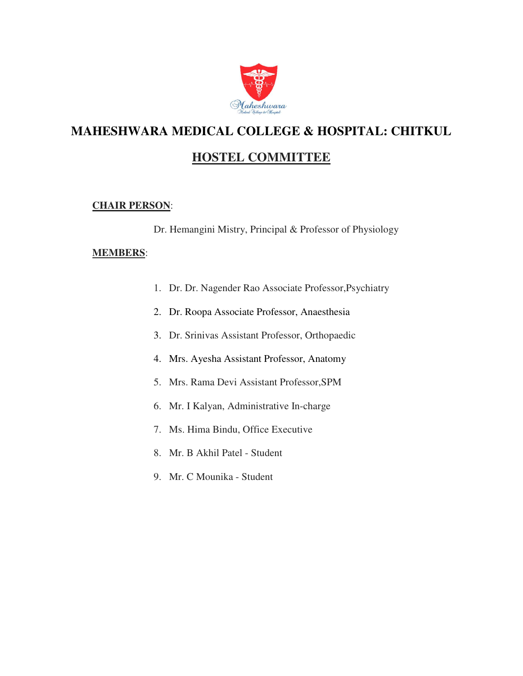

## **HOSTEL COMMITTEE**

#### **CHAIR PERSON**:

Dr. Hemangini Mistry, Principal & Professor of Physiology

- 1. Dr. Dr. Nagender Rao Associate Professor,Psychiatry
- 2. Dr. Roopa Associate Professor, Anaesthesia
- 3. Dr. Srinivas Assistant Professor, Orthopaedic
- 4. Mrs. Ayesha Assistant Professor, Anatomy
- 5. Mrs. Rama Devi Assistant Professor,SPM
- 6. Mr. I Kalyan, Administrative In-charge
- 7. Ms. Hima Bindu, Office Executive
- 8. Mr. B Akhil Patel Student
- 9. Mr. C Mounika Student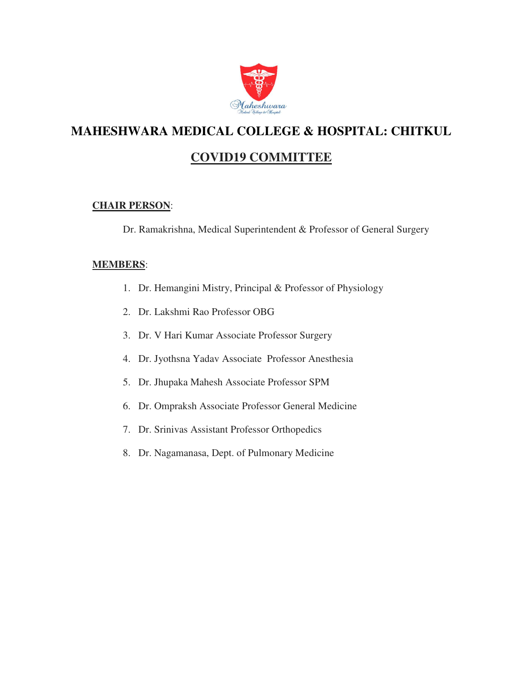

## **COVID19 COMMITTEE**

#### **CHAIR PERSON**:

Dr. Ramakrishna, Medical Superintendent & Professor of General Surgery

- 1. Dr. Hemangini Mistry, Principal & Professor of Physiology
- 2. Dr. Lakshmi Rao Professor OBG
- 3. Dr. V Hari Kumar Associate Professor Surgery
- 4. Dr. Jyothsna Yadav Associate Professor Anesthesia
- 5. Dr. Jhupaka Mahesh Associate Professor SPM
- 6. Dr. Ompraksh Associate Professor General Medicine
- 7. Dr. Srinivas Assistant Professor Orthopedics
- 8. Dr. Nagamanasa, Dept. of Pulmonary Medicine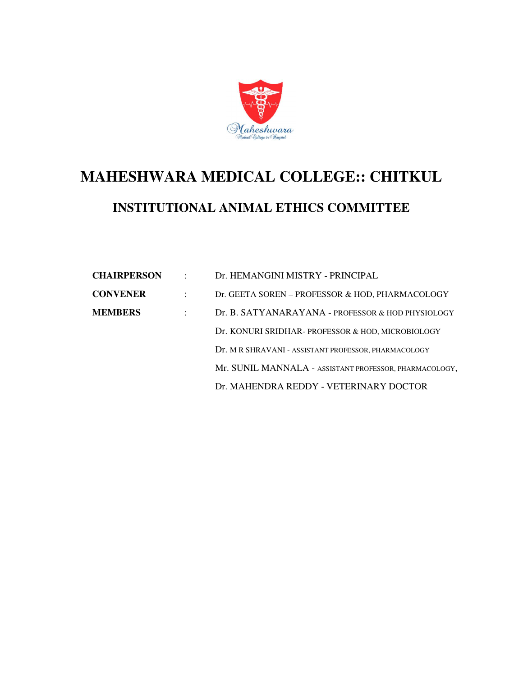

# **MAHESHWARA MEDICAL COLLEGE:: CHITKUL INSTITUTIONAL ANIMAL ETHICS COMMITTEE**

| <b>CHAIRPERSON</b> | $\cdot$ . | Dr. HEMANGINI MISTRY - PRINCIPAL                       |
|--------------------|-----------|--------------------------------------------------------|
| <b>CONVENER</b>    |           | Dr. GEETA SOREN – PROFESSOR & HOD, PHARMACOLOGY        |
| <b>MEMBERS</b>     |           | Dr. B. SATYANARAYANA - PROFESSOR & HOD PHYSIOLOGY      |
|                    |           | Dr. KONURI SRIDHAR- PROFESSOR & HOD, MICROBIOLOGY      |
|                    |           | Dr. M R SHRAVANI - ASSISTANT PROFESSOR, PHARMACOLOGY   |
|                    |           | Mr. SUNIL MANNALA - ASSISTANT PROFESSOR, PHARMACOLOGY, |
|                    |           | Dr. MAHENDRA REDDY - VETERINARY DOCTOR                 |